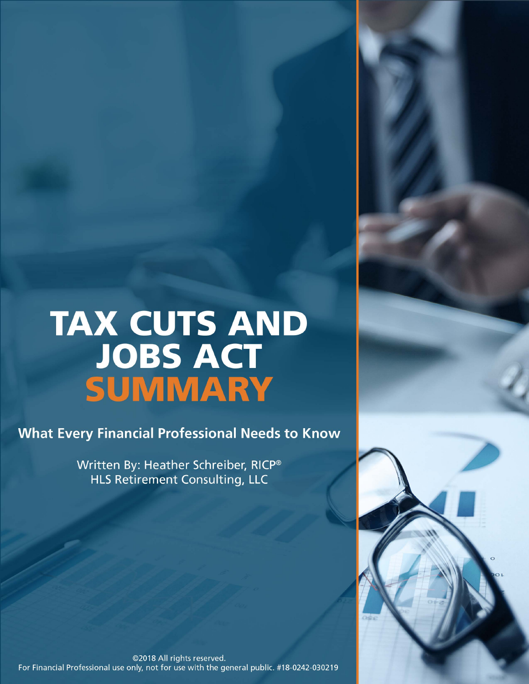# **TAX CUTS AND** JOBS ACT<br>SUMMARY

**What Every Financial Professional Needs to Know** 

Written By: Heather Schreiber, RICP® **HLS Retirement Consulting, LLC** 

@2018 All rights reserved. For Financial Professional use only, not for use with the general public. #18-0242-030219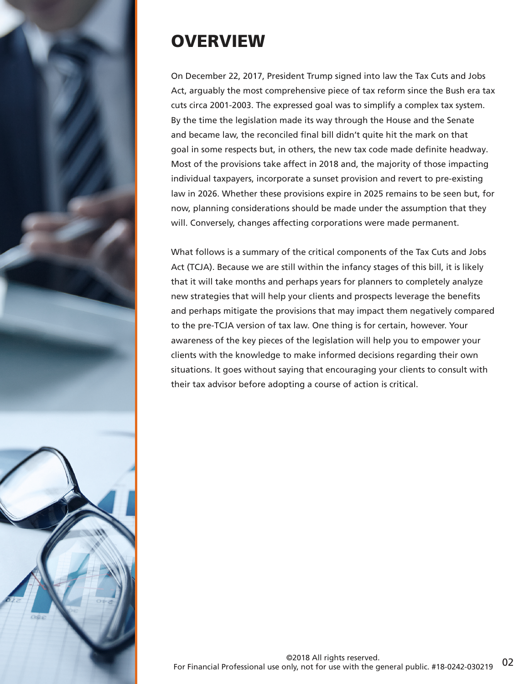

# **OVERVIEW**

On December 22, 2017, President Trump signed into law the Tax Cuts and Jobs Act, arguably the most comprehensive piece of tax reform since the Bush era tax cuts circa 2001-2003. The expressed goal was to simplify a complex tax system. By the time the legislation made its way through the House and the Senate and became law, the reconciled final bill didn't quite hit the mark on that goal in some respects but, in others, the new tax code made definite headway. Most of the provisions take affect in 2018 and, the majority of those impacting individual taxpayers, incorporate a sunset provision and revert to pre-existing law in 2026. Whether these provisions expire in 2025 remains to be seen but, for now, planning considerations should be made under the assumption that they will. Conversely, changes affecting corporations were made permanent.

What follows is a summary of the critical components of the Tax Cuts and Jobs Act (TCJA). Because we are still within the infancy stages of this bill, it is likely that it will take months and perhaps years for planners to completely analyze new strategies that will help your clients and prospects leverage the benefits and perhaps mitigate the provisions that may impact them negatively compared to the pre-TCJA version of tax law. One thing is for certain, however. Your awareness of the key pieces of the legislation will help you to empower your clients with the knowledge to make informed decisions regarding their own situations. It goes without saying that encouraging your clients to consult with their tax advisor before adopting a course of action is critical.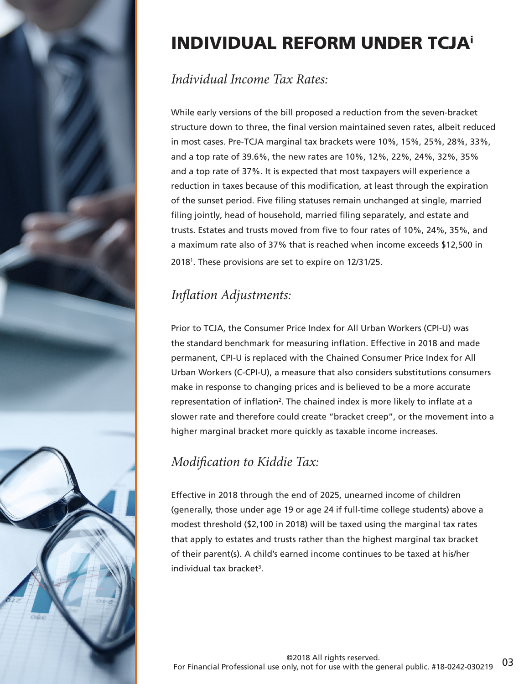

# INDIVIDUAL REFORM UNDER TCJA<sup>i</sup>

#### *Individual Income Tax Rates:*

While early versions of the bill proposed a reduction from the seven-bracket structure down to three, the final version maintained seven rates, albeit reduced in most cases. Pre-TCJA marginal tax brackets were 10%, 15%, 25%, 28%, 33%, and a top rate of 39.6%, the new rates are 10%, 12%, 22%, 24%, 32%, 35% and a top rate of 37%. It is expected that most taxpayers will experience a reduction in taxes because of this modification, at least through the expiration of the sunset period. Five filing statuses remain unchanged at single, married filing jointly, head of household, married filing separately, and estate and trusts. Estates and trusts moved from five to four rates of 10%, 24%, 35%, and a maximum rate also of 37% that is reached when income exceeds \$12,500 in 2018<sup>1</sup> . These provisions are set to expire on 12/31/25.

# *Inflation Adjustments:*

Prior to TCJA, the Consumer Price Index for All Urban Workers (CPI-U) was the standard benchmark for measuring inflation. Effective in 2018 and made permanent, CPI-U is replaced with the Chained Consumer Price Index for All Urban Workers (C-CPI-U), a measure that also considers substitutions consumers make in response to changing prices and is believed to be a more accurate representation of inflation<sup>2</sup>. The chained index is more likely to inflate at a slower rate and therefore could create "bracket creep", or the movement into a higher marginal bracket more quickly as taxable income increases.

# *Modification to Kiddie Tax:*

Effective in 2018 through the end of 2025, unearned income of children (generally, those under age 19 or age 24 if full-time college students) above a modest threshold (\$2,100 in 2018) will be taxed using the marginal tax rates that apply to estates and trusts rather than the highest marginal tax bracket of their parent(s). A child's earned income continues to be taxed at his/her individual tax bracket<sup>3</sup>.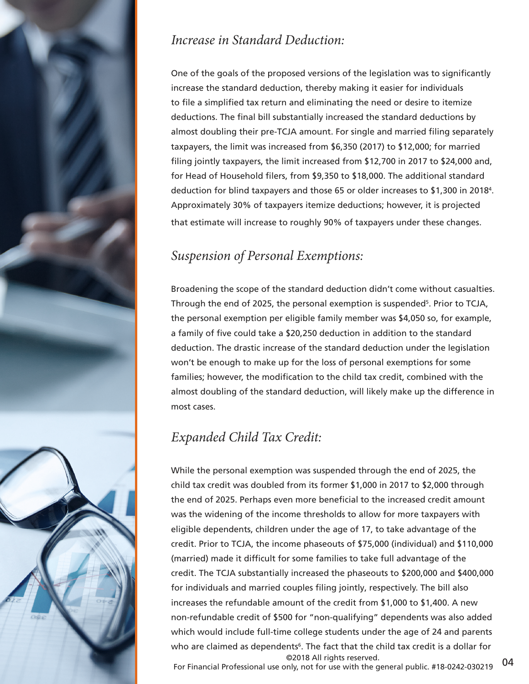

#### *Increase in Standard Deduction:*

One of the goals of the proposed versions of the legislation was to significantly increase the standard deduction, thereby making it easier for individuals to file a simplified tax return and eliminating the need or desire to itemize deductions. The final bill substantially increased the standard deductions by almost doubling their pre-TCJA amount. For single and married filing separately taxpayers, the limit was increased from \$6,350 (2017) to \$12,000; for married filing jointly taxpayers, the limit increased from \$12,700 in 2017 to \$24,000 and, for Head of Household filers, from \$9,350 to \$18,000. The additional standard deduction for blind taxpayers and those 65 or older increases to \$1,300 in 2018<sup>4</sup> . Approximately 30% of taxpayers itemize deductions; however, it is projected that estimate will increase to roughly 90% of taxpayers under these changes.

# *Suspension of Personal Exemptions:*

Broadening the scope of the standard deduction didn't come without casualties. Through the end of 2025, the personal exemption is suspended<sup>5</sup>. Prior to TCJA, the personal exemption per eligible family member was \$4,050 so, for example, a family of five could take a \$20,250 deduction in addition to the standard deduction. The drastic increase of the standard deduction under the legislation won't be enough to make up for the loss of personal exemptions for some families; however, the modification to the child tax credit, combined with the almost doubling of the standard deduction, will likely make up the difference in most cases.

# *Expanded Child Tax Credit:*

While the personal exemption was suspended through the end of 2025, the child tax credit was doubled from its former \$1,000 in 2017 to \$2,000 through the end of 2025. Perhaps even more beneficial to the increased credit amount was the widening of the income thresholds to allow for more taxpayers with eligible dependents, children under the age of 17, to take advantage of the credit. Prior to TCJA, the income phaseouts of \$75,000 (individual) and \$110,000 (married) made it difficult for some families to take full advantage of the credit. The TCJA substantially increased the phaseouts to \$200,000 and \$400,000 for individuals and married couples filing jointly, respectively. The bill also increases the refundable amount of the credit from \$1,000 to \$1,400. A new non-refundable credit of \$500 for "non-qualifying" dependents was also added which would include full-time college students under the age of 24 and parents who are claimed as dependents<sup>6</sup>. The fact that the child tax credit is a dollar for ©2018 All rights reserved.

For Financial Professional use only, not for use with the general public. #18-0242-030219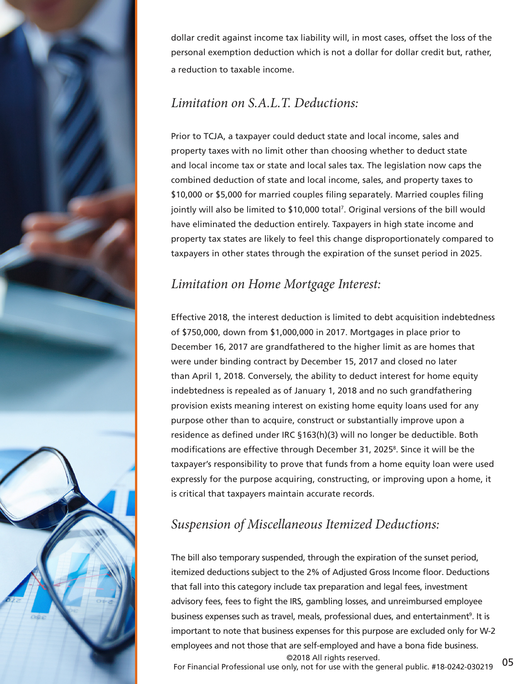

dollar credit against income tax liability will, in most cases, offset the loss of the personal exemption deduction which is not a dollar for dollar credit but, rather, a reduction to taxable income.

#### *Limitation on S.A.L.T. Deductions:*

Prior to TCJA, a taxpayer could deduct state and local income, sales and property taxes with no limit other than choosing whether to deduct state and local income tax or state and local sales tax. The legislation now caps the combined deduction of state and local income, sales, and property taxes to \$10,000 or \$5,000 for married couples filing separately. Married couples filing jointly will also be limited to \$10,000 total<sup>7</sup> . Original versions of the bill would have eliminated the deduction entirely. Taxpayers in high state income and property tax states are likely to feel this change disproportionately compared to taxpayers in other states through the expiration of the sunset period in 2025.

#### *Limitation on Home Mortgage Interest:*

Effective 2018, the interest deduction is limited to debt acquisition indebtedness of \$750,000, down from \$1,000,000 in 2017. Mortgages in place prior to December 16, 2017 are grandfathered to the higher limit as are homes that were under binding contract by December 15, 2017 and closed no later than April 1, 2018. Conversely, the ability to deduct interest for home equity indebtedness is repealed as of January 1, 2018 and no such grandfathering provision exists meaning interest on existing home equity loans used for any purpose other than to acquire, construct or substantially improve upon a residence as defined under IRC §163(h)(3) will no longer be deductible. Both modifications are effective through December 31, 2025<sup>8</sup>. Since it will be the taxpayer's responsibility to prove that funds from a home equity loan were used expressly for the purpose acquiring, constructing, or improving upon a home, it is critical that taxpayers maintain accurate records.

# *Suspension of Miscellaneous Itemized Deductions:*

The bill also temporary suspended, through the expiration of the sunset period, itemized deductions subject to the 2% of Adjusted Gross Income floor. Deductions that fall into this category include tax preparation and legal fees, investment advisory fees, fees to fight the IRS, gambling losses, and unreimbursed employee business expenses such as travel, meals, professional dues, and entertainment<sup>9</sup>. It is important to note that business expenses for this purpose are excluded only for W-2 employees and not those that are self-employed and have a bona fide business. ©2018 All rights reserved.

For Financial Professional use only, not for use with the general public. #18-0242-030219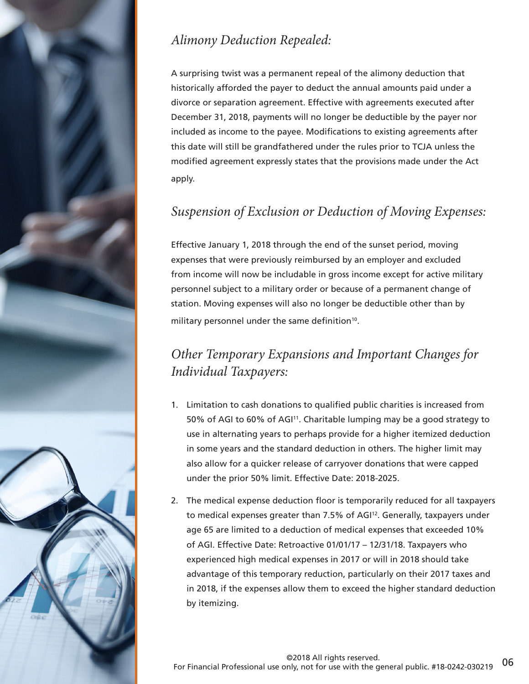

# *Alimony Deduction Repealed:*

A surprising twist was a permanent repeal of the alimony deduction that historically afforded the payer to deduct the annual amounts paid under a divorce or separation agreement. Effective with agreements executed after December 31, 2018, payments will no longer be deductible by the payer nor included as income to the payee. Modifications to existing agreements after this date will still be grandfathered under the rules prior to TCJA unless the modified agreement expressly states that the provisions made under the Act apply.

#### *Suspension of Exclusion or Deduction of Moving Expenses:*

Effective January 1, 2018 through the end of the sunset period, moving expenses that were previously reimbursed by an employer and excluded from income will now be includable in gross income except for active military personnel subject to a military order or because of a permanent change of station. Moving expenses will also no longer be deductible other than by military personnel under the same definition<sup>10</sup>.

### *Other Temporary Expansions and Important Changes for Individual Taxpayers:*

- 1. Limitation to cash donations to qualified public charities is increased from 50% of AGI to 60% of AGI<sup>11</sup>. Charitable lumping may be a good strategy to use in alternating years to perhaps provide for a higher itemized deduction in some years and the standard deduction in others. The higher limit may also allow for a quicker release of carryover donations that were capped under the prior 50% limit. Effective Date: 2018-2025.
- 2. The medical expense deduction floor is temporarily reduced for all taxpayers to medical expenses greater than 7.5% of AGI<sup>12</sup>. Generally, taxpayers under age 65 are limited to a deduction of medical expenses that exceeded 10% of AGI. Effective Date: Retroactive 01/01/17 – 12/31/18. Taxpayers who experienced high medical expenses in 2017 or will in 2018 should take advantage of this temporary reduction, particularly on their 2017 taxes and in 2018, if the expenses allow them to exceed the higher standard deduction by itemizing.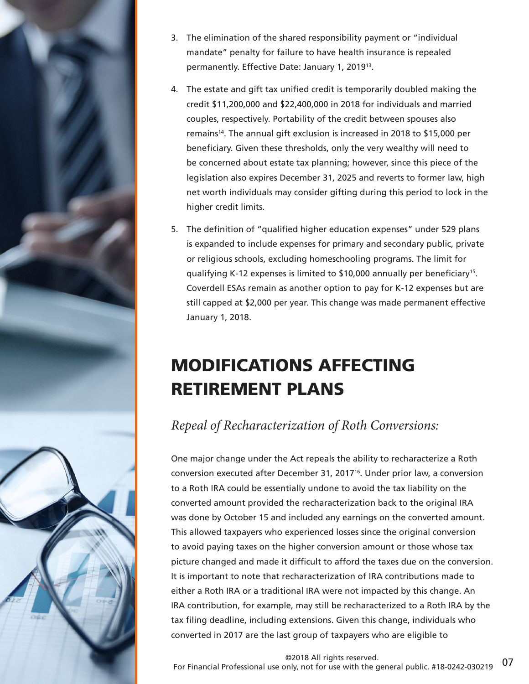

- 3. The elimination of the shared responsibility payment or "individual mandate" penalty for failure to have health insurance is repealed permanently. Effective Date: January 1, 2019<sup>13</sup>.
- 4. The estate and gift tax unified credit is temporarily doubled making the credit \$11,200,000 and \$22,400,000 in 2018 for individuals and married couples, respectively. Portability of the credit between spouses also remains<sup>14</sup>. The annual gift exclusion is increased in 2018 to \$15,000 per beneficiary. Given these thresholds, only the very wealthy will need to be concerned about estate tax planning; however, since this piece of the legislation also expires December 31, 2025 and reverts to former law, high net worth individuals may consider gifting during this period to lock in the higher credit limits.
- 5. The definition of "qualified higher education expenses" under 529 plans is expanded to include expenses for primary and secondary public, private or religious schools, excluding homeschooling programs. The limit for qualifying K-12 expenses is limited to \$10,000 annually per beneficiary15. Coverdell ESAs remain as another option to pay for K-12 expenses but are still capped at \$2,000 per year. This change was made permanent effective January 1, 2018.

# MODIFICATIONS AFFECTING RETIREMENT PLANS

#### *Repeal of Recharacterization of Roth Conversions:*

One major change under the Act repeals the ability to recharacterize a Roth conversion executed after December 31, 2017<sup>16</sup>. Under prior law, a conversion to a Roth IRA could be essentially undone to avoid the tax liability on the converted amount provided the recharacterization back to the original IRA was done by October 15 and included any earnings on the converted amount. This allowed taxpayers who experienced losses since the original conversion to avoid paying taxes on the higher conversion amount or those whose tax picture changed and made it difficult to afford the taxes due on the conversion. It is important to note that recharacterization of IRA contributions made to either a Roth IRA or a traditional IRA were not impacted by this change. An IRA contribution, for example, may still be recharacterized to a Roth IRA by the tax filing deadline, including extensions. Given this change, individuals who converted in 2017 are the last group of taxpayers who are eligible to

07 ©2018 All rights reserved. For Financial Professional use only, not for use with the general public. #18-0242-030219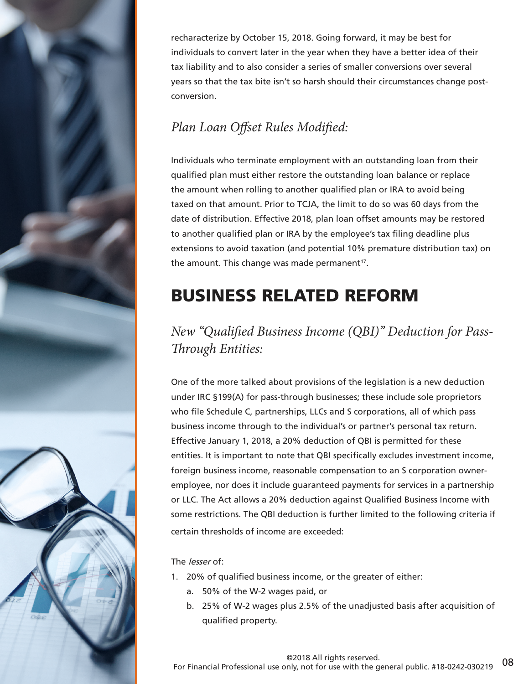conversion. *Through Entities:*

The *lesser* of:

- 1. 20% of qualified business income, or the greater of either:
	- a. 50% of the W-2 wages paid, or
	- b. 25% of W-2 wages plus 2.5% of the unadjusted basis after acquisition of qualified property.



recharacterize by October 15, 2018. Going forward, it may be best for individuals to convert later in the year when they have a better idea of their tax liability and to also consider a series of smaller conversions over several years so that the tax bite isn't so harsh should their circumstances change post-

# *Plan Loan Offset Rules Modified:*

Individuals who terminate employment with an outstanding loan from their qualified plan must either restore the outstanding loan balance or replace the amount when rolling to another qualified plan or IRA to avoid being taxed on that amount. Prior to TCJA, the limit to do so was 60 days from the date of distribution. Effective 2018, plan loan offset amounts may be restored to another qualified plan or IRA by the employee's tax filing deadline plus extensions to avoid taxation (and potential 10% premature distribution tax) on the amount. This change was made permanent $17$ .

# BUSINESS RELATED REFORM

*New "Qualified Business Income (QBI)" Deduction for Pass-*

One of the more talked about provisions of the legislation is a new deduction under IRC §199(A) for pass-through businesses; these include sole proprietors who file Schedule C, partnerships, LLCs and S corporations, all of which pass business income through to the individual's or partner's personal tax return. Effective January 1, 2018, a 20% deduction of QBI is permitted for these entities. It is important to note that QBI specifically excludes investment income, foreign business income, reasonable compensation to an S corporation owneremployee, nor does it include guaranteed payments for services in a partnership or LLC. The Act allows a 20% deduction against Qualified Business Income with some restrictions. The QBI deduction is further limited to the following criteria if certain thresholds of income are exceeded: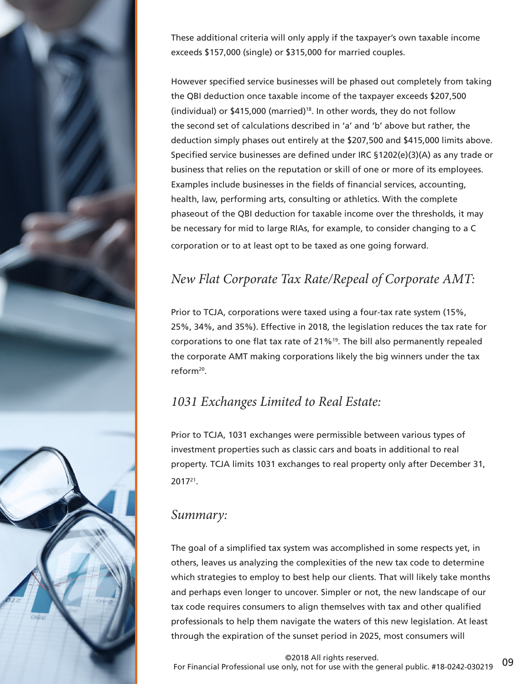

These additional criteria will only apply if the taxpayer's own taxable income exceeds \$157,000 (single) or \$315,000 for married couples.

However specified service businesses will be phased out completely from taking the QBI deduction once taxable income of the taxpayer exceeds \$207,500 (individual) or  $$415,000$  (married)<sup>18</sup>. In other words, they do not follow the second set of calculations described in 'a' and 'b' above but rather, the deduction simply phases out entirely at the \$207,500 and \$415,000 limits above. Specified service businesses are defined under IRC §1202(e)(3)(A) as any trade or business that relies on the reputation or skill of one or more of its employees. Examples include businesses in the fields of financial services, accounting, health, law, performing arts, consulting or athletics. With the complete phaseout of the QBI deduction for taxable income over the thresholds, it may be necessary for mid to large RIAs, for example, to consider changing to a C corporation or to at least opt to be taxed as one going forward.

#### *New Flat Corporate Tax Rate/Repeal of Corporate AMT:*

Prior to TCJA, corporations were taxed using a four-tax rate system (15%, 25%, 34%, and 35%). Effective in 2018, the legislation reduces the tax rate for corporations to one flat tax rate of 21%<sup>19</sup>. The bill also permanently repealed the corporate AMT making corporations likely the big winners under the tax reform<sup>20</sup> .

#### *1031 Exchanges Limited to Real Estate:*

Prior to TCJA, 1031 exchanges were permissible between various types of investment properties such as classic cars and boats in additional to real property. TCJA limits 1031 exchanges to real property only after December 31, 2017<sup>21</sup> .

#### *Summary:*

The goal of a simplified tax system was accomplished in some respects yet, in others, leaves us analyzing the complexities of the new tax code to determine which strategies to employ to best help our clients. That will likely take months and perhaps even longer to uncover. Simpler or not, the new landscape of our tax code requires consumers to align themselves with tax and other qualified professionals to help them navigate the waters of this new legislation. At least through the expiration of the sunset period in 2025, most consumers will

09 ©2018 All rights reserved. For Financial Professional use only, not for use with the general public. #18-0242-030219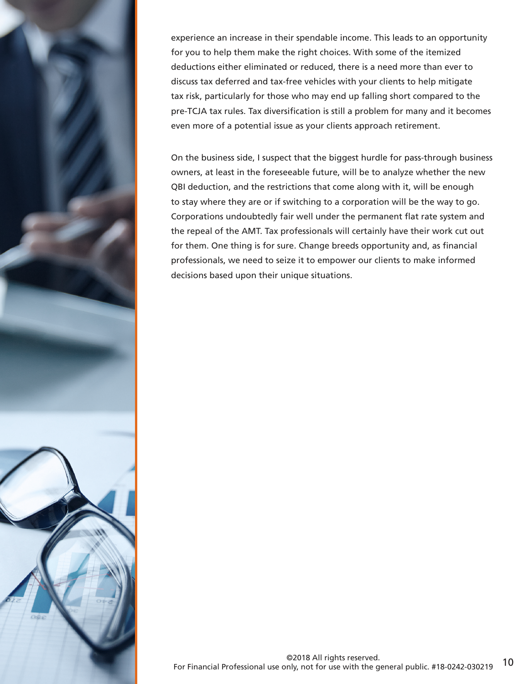

experience an increase in their spendable income. This leads to an opportunity for you to help them make the right choices. With some of the itemized deductions either eliminated or reduced, there is a need more than ever to discuss tax deferred and tax-free vehicles with your clients to help mitigate tax risk, particularly for those who may end up falling short compared to the pre-TCJA tax rules. Tax diversification is still a problem for many and it becomes even more of a potential issue as your clients approach retirement.

On the business side, I suspect that the biggest hurdle for pass-through business owners, at least in the foreseeable future, will be to analyze whether the new QBI deduction, and the restrictions that come along with it, will be enough to stay where they are or if switching to a corporation will be the way to go. Corporations undoubtedly fair well under the permanent flat rate system and the repeal of the AMT. Tax professionals will certainly have their work cut out for them. One thing is for sure. Change breeds opportunity and, as financial professionals, we need to seize it to empower our clients to make informed decisions based upon their unique situations.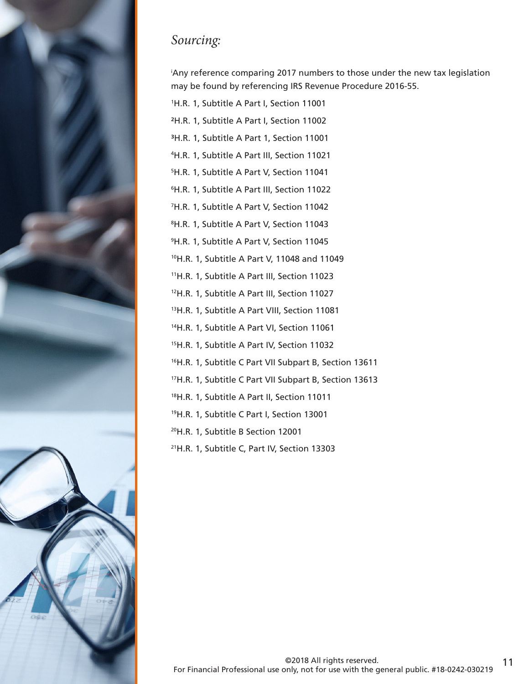

## *Sourcing:*

<sup>i</sup>Any reference comparing 2017 numbers to those under the new tax legislation may be found by referencing IRS Revenue Procedure 2016-55.

- H.R. 1, Subtitle A Part I, Section 11001
- 2H.R. 1, Subtitle A Part I, Section 11002
- 3H.R. 1, Subtitle A Part 1, Section 11001
- H.R. 1, Subtitle A Part III, Section 11021
- H.R. 1, Subtitle A Part V, Section 11041
- H.R. 1, Subtitle A Part III, Section 11022
- H.R. 1, Subtitle A Part V, Section 11042
- H.R. 1, Subtitle A Part V, Section 11043
- H.R. 1, Subtitle A Part V, Section 11045
- H.R. 1, Subtitle A Part V, 11048 and 11049
- H.R. 1, Subtitle A Part III, Section 11023
- H.R. 1, Subtitle A Part III, Section 11027
- H.R. 1, Subtitle A Part VIII, Section 11081
- H.R. 1, Subtitle A Part VI, Section 11061
- H.R. 1, Subtitle A Part IV, Section 11032
- H.R. 1, Subtitle C Part VII Subpart B, Section 13611
- H.R. 1, Subtitle C Part VII Subpart B, Section 13613
- 18H.R. 1, Subtitle A Part II, Section 11011
- H.R. 1, Subtitle C Part I, Section 13001
- H.R. 1, Subtitle B Section 12001
- H.R. 1, Subtitle C, Part IV, Section 13303